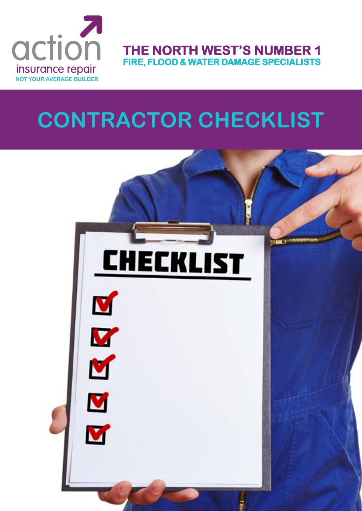

**THE NORTH WEST'S NUMBER 1 FIRE, FLOOD & WATER DAMAGE SPECIALISTS**

### **CONTRACTOR CHECKLIST**

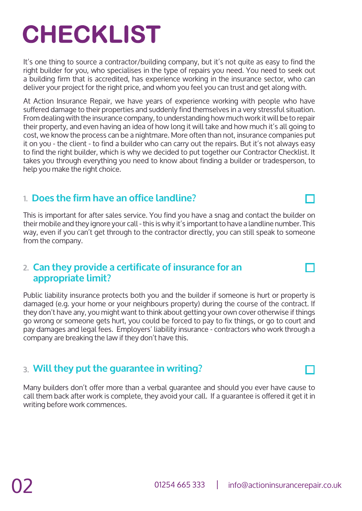#### 01254 665 333 | info@actioninsurancerepair.co.uk

# **CHECKLIST**

It's one thing to source a contractor/building company, but it's not quite as easy to find the right builder for you, who specialises in the type of repairs you need. You need to seek out a building firm that is accredited, has experience working in the insurance sector, who can deliver your project for the right price, and whom you feel you can trust and get along with.

At Action Insurance Repair, we have years of experience working with people who have suffered damage to their properties and suddenly find themselves in a very stressful situation. From dealing with the insurance company, to understanding how much work it will be to repair their property, and even having an idea of how long it will take and how much it's all going to cost, we know the process can be a nightmare. More often than not, insurance companies put it on you - the client - to find a builder who can carry out the repairs. But it's not always easy to find the right builder, which is why we decided to put together our Contractor Checklist. It takes you through everything you need to know about finding a builder or tradesperson, to help you make the right choice.

#### **Does the firm have an office landline? 1.**

This is important for after sales service. You find you have a snag and contact the builder on their mobile and they ignore your call - this is why it's important to have a landline number. This way, even if you can't get through to the contractor directly, you can still speak to someone from the company.

#### **Can they provide a certificate of insurance for an 2. appropriate limit?**

Public liability insurance protects both you and the builder if someone is hurt or property is damaged (e.g. your home or your neighbours property) during the course of the contract. If they don't have any, you might want to think about getting your own cover otherwise if things go wrong or someone gets hurt, you could be forced to pay to fix things, or go to court and pay damages and legal fees. Employers' liability insurance - contractors who work through a company are breaking the law if they don't have this.

#### **Will they put the guarantee in writing? 3.**

Many builders don't offer more than a verbal guarantee and should you ever have cause to call them back after work is complete, they avoid your call. If a guarantee is offered it get it in writing before work commences.

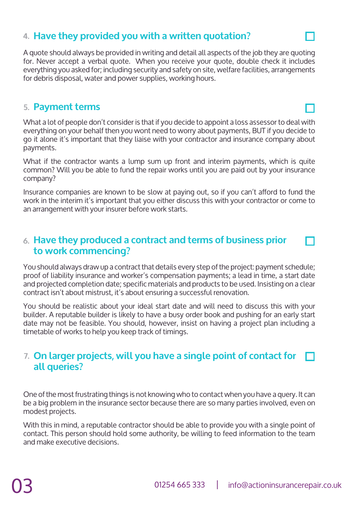#### **Have they provided you with a written quotation? 4.**

A quote should always be provided in writing and detail all aspects of the job they are quoting for. Never accept a verbal quote. When you receive your quote, double check it includes everything you asked for; including security and safety on site, welfare facilities, arrangements for debris disposal, water and power supplies, working hours.

#### **Payment terms 5.**

What a lot of people don't consider is that if you decide to appoint a loss assessor to deal with everything on your behalf then you wont need to worry about payments, BUT if you decide to go it alone it's important that they liaise with your contractor and insurance company about payments.

What if the contractor wants a lump sum up front and interim payments, which is quite common? Will you be able to fund the repair works until you are paid out by your insurance company?

Insurance companies are known to be slow at paying out, so if you can't afford to fund the work in the interim it's important that you either discuss this with your contractor or come to an arrangement with your insurer before work starts.

#### **Have they produced a contract and terms of business prior 6. to work commencing?**

You should always draw up a contract that details every step of the project: payment schedule; proof of liability insurance and worker's compensation payments; a lead in time, a start date and projected completion date; specific materials and products to be used. Insisting on a clear contract isn't about mistrust, it's about ensuring a successful renovation.

You should be realistic about your ideal start date and will need to discuss this with your builder. A reputable builder is likely to have a busy order book and pushing for an early start date may not be feasible. You should, however, insist on having a project plan including a timetable of works to help you keep track of timings.

#### **On larger projects, will you have a single point of contact for 7.all queries?**

One of the most frustrating things is not knowing who to contact when you have a query. It can be a big problem in the insurance sector because there are so many parties involved, even on modest projects.

With this in mind, a reputable contractor should be able to provide you with a single point of contact. This person should hold some authority, be willing to feed information to the team and make executive decisions.

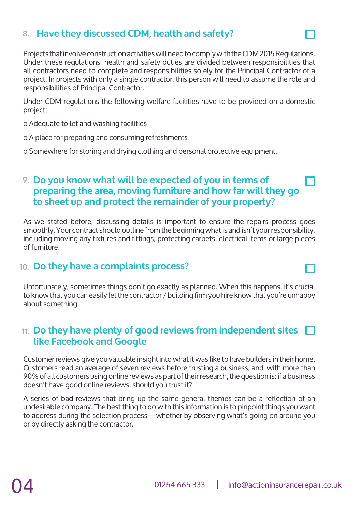#### **8. Have they discussed CDM, health and safety?**

Projects that involve construction activities will need to comply with the CDM 2015 Regulations. Under these regulations, health and safety duties are divided between responsibilities that all contractors need to complete and responsibilities solely for the Principal Contractor of a project. In projects with only a single contractor, this person will need to assume the role and responsibilities of Principal Contractor.

Under CDM regulations the following welfare facilities have to be provided on a domestic project:

o Adequate toilet and washing facilities

o A place for preparing and consuming refreshments

o Somewhere for storing and drying clothing and personal protective equipment.

#### **Do you know what will be expected of you in terms of 9. preparing the area, moving furniture and how far will they go to sheet up and protect the remainder of your property?**

As we stated before, discussing details is important to ensure the repairs process goes smoothly. Your contract should outline from the beginning what is and isn't your responsibility, including moving any fixtures and fittings, protecting carpets, electrical items or large pieces of furniture.

#### **Do they have a complaints process? 10.**

Unfortunately, sometimes things don't go exactly as planned. When this happens, it's crucial to know that you can easily let the contractor / building firm you hire know that you're unhappy about something.

#### **Do they have plenty of good reviews from independent sites 11.like Facebook and Google**

Customer reviews give you valuable insight into what it was like to have builders in their home. Customers read an average of seven reviews before trusting a business, and with more than 90% of all customers using online reviews as part of their research, the question is: if a business doesn't have good online reviews, should you trust it?

A series of bad reviews that bring up the same general themes can be a reflection of an undesirable company. The best thing to do with this information is to pinpoint things you want to address during the selection process—whether by observing what's going on around you or by directly asking the contractor.